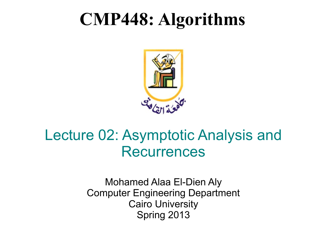#### **CMP448: Algorithms**



#### Lecture 02: Asymptotic Analysis and Recurrences

Mohamed Alaa El-Dien Aly Computer Engineering Department Cairo University Spring 2013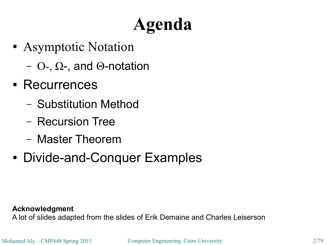#### **Agenda**

- Asymptotic Notation
	- O-, Ω-, and Θ-notation
- Recurrences
	- Substitution Method
	- Recursion Tree
	- Master Theorem
- Divide-and-Conquer Examples

**Acknowledgment**

A lot of slides adapted from the slides of Erik Demaine and Charles Leiserson

Mohamed Aly – CMP448 Spring 2013 Computer Engineering, Cairo University 2/79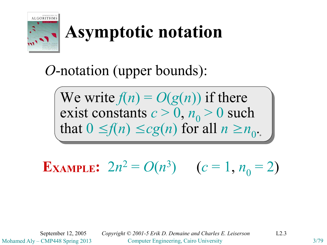

#### *O*-notation (upper bounds):

We write  $f(n) = O(g(n))$  if there exist constants  $c > 0$ ,  $n_0 > 0$  such that  $0 \le f(n) \le cg(n)$  for all  $n \ge n_0$ .

**EXAMPLE:**  $2n^2 = O(n^3)$   $(c = 1, n_0 = 2)$ 

Mohamed Aly – CMP448 Spring 2013 Computer Engineering, Cairo University 3/79 September 12, 2005 *Copyright © 2001-5 Erik D. Demaine and Charles E. Leiserson* L2.3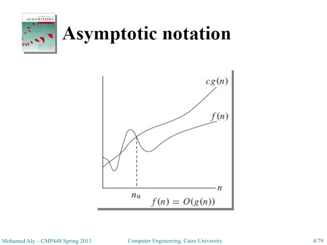



Mohamed Aly – CMP448 Spring 2013 Computer Engineering, Cairo University 4/79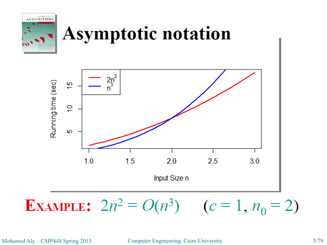

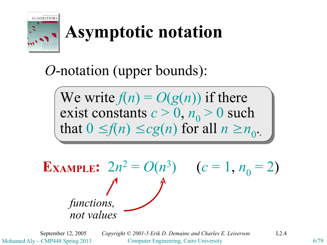

#### *O*-notation (upper bounds):

We write  $f(n) = O(g(n))$  if there exist constants  $c > 0$ ,  $n_0 > 0$  such that  $0 \le f(n) \le cg(n)$  for all  $n \ge n_0$ .

**EXAMPLE:**  $2n^2 = O(n^3)$   $(c = 1, n_0 = 2)$ *functions, not values*

Mohamed Aly – CMP448 Spring 2013 Computer Engineering, Cairo University 6/79 September 12, 2005 *Copyright © 2001-5 Erik D. Demaine and Charles E. Leiserson* L2.4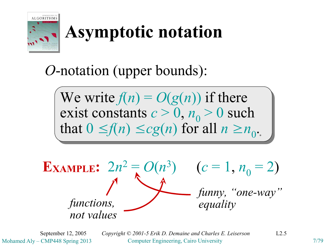

#### *O*-notation (upper bounds):

We write  $f(n) = O(g(n))$  if there exist constants  $c > 0$ ,  $n_0 > 0$  such that  $0 \le f(n) \le cg(n)$  for all  $n \ge n_0$ .



Mohamed Aly – CMP448 Spring 2013 Computer Engineering, Cairo University 7/79 September 12, 2005 *Copyright © 2001-5 Erik D. Demaine and Charles E. Leiserson* L2.5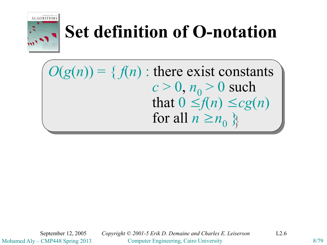

#### **Set definition of O-notation**

 $O(g(n)) = \{ f(n) : \text{there exist constants}$  $c > 0, n_0 > 0$  such that  $0 \leq f(n) \leq cg(n)$ for all  $n \geq n_0$   $\}$ 

Mohamed Aly – CMP448 Spring 2013 Computer Engineering, Cairo University 8/79 September 12, 2005 *Copyright © 2001-5 Erik D. Demaine and Charles E. Leiserson* L2.6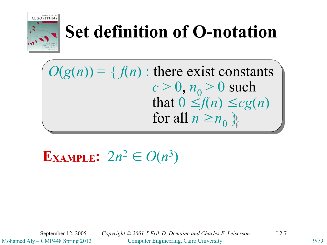

#### **Set definition of O-notation**

 $O(g(n)) = \{ f(n) : \text{there exist constants}$  $c > 0, n_0 > 0$  such that  $0 \leq f(n) \leq cg(n)$ for all  $n \geq n_0$   $\}$ 

**EXAMPLE:**  $2n^2 \in O(n^3)$ 

Mohamed Aly – CMP448 Spring 2013 Computer Engineering, Cairo University 9/79 September 12, 2005 *Copyright © 2001-5 Erik D. Demaine and Charles E. Leiserson* L2.7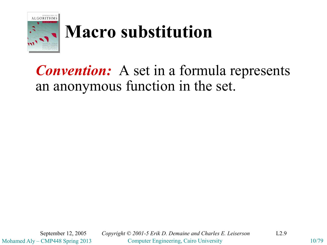

#### **Macro substitution**

#### *Convention:* A set in a formula represents an anonymous function in the set.

Mohamed Aly – CMP448 Spring 2013 Computer Engineering, Cairo University 10/79 September 12, 2005 *Copyright © 2001-5 Erik D. Demaine and Charles E. Leiserson* L2.9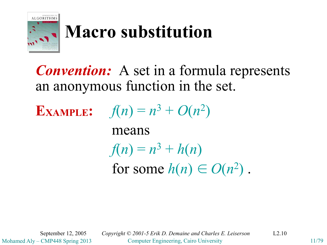

#### **Macro substitution**

*Convention:* A set in a formula represents an anonymous function in the set.

**EXAMPLE:**  $f(n) = n^3 + O(n^2)$ means  $f(n) = n^3 + h(n)$ for some  $h(n) \in O(n^2)$ .

Mohamed Aly – CMP448 Spring 2013 Computer Engineering, Cairo University 11/79 September 12, 2005 *Copyright © 2001-5 Erik D. Demaine and Charles E. Leiserson* L2.10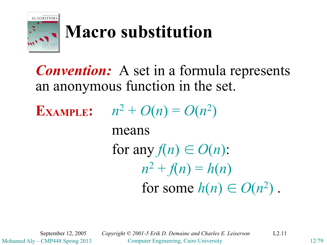

#### **Macro substitution**

#### *Convention:* A set in a formula represents an anonymous function in the set.

**EXAMPLE:**  $n^2 + O(n) = O(n^2)$ means for any  $f(n) \in O(n)$ :  $n^2 + f(n) = h(n)$ for some  $h(n) \in O(n^2)$ .

Mohamed Aly – CMP448 Spring 2013 Computer Engineering, Cairo University 12/79 September 12, 2005 *Copyright © 2001-5 Erik D. Demaine and Charles E. Leiserson* L2.11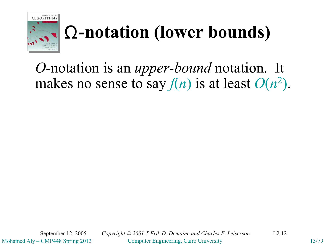

#### **-notation (lower bounds)** Ω

*O*-notation is an *upper-bound* notation. It makes no sense to say  $f(n)$  is at least  $O(n^2)$ .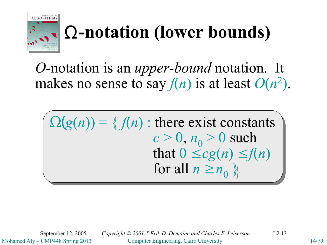

#### **-notation (lower bounds)** Ω

*O*-notation is an *upper-bound* notation. It makes no sense to say  $f(n)$  is at least  $O(n^2)$ .

 $\Omega(g(n)) = \{f(n) : \text{there exist constants}\}$  $c > 0, n_0 > 0$  such that  $0 \le cg(n) \le f(n)$ for all  $n \geq n_0$   $\}$ 

Mohamed Aly – CMP448 Spring 2013 Computer Engineering, Cairo University 14/79 September 12, 2005 *Copyright © 2001-5 Erik D. Demaine and Charles E. Leiserson* L2.13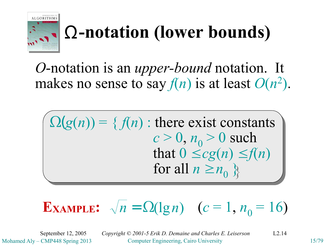

#### **-notation (lower bounds)** Ω

*O*-notation is an *upper-bound* notation. It makes no sense to say  $f(n)$  is at least  $O(n^2)$ .

 $\Omega(g(n)) = \{f(n) : \text{there exist constants}\}$  $c > 0, n_0 > 0$  such that  $0 \le cg(n) \le f(n)$ for all  $n \geq n_0$   $\}$ 

#### **EXAMPLE:**  $\sqrt{n} = \Omega(\lg n)$   $(c = 1, n_0 = 16)$

Mohamed Aly – CMP448 Spring 2013 Computer Engineering, Cairo University 15/79 September 12, 2005 *Copyright © 2001-5 Erik D. Demaine and Charles E. Leiserson* L2.14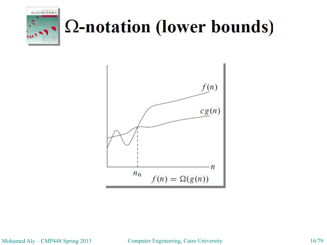

### Ω-notation (lower bounds)



Mohamed Aly – CMP448 Spring 2013 Computer Engineering, Cairo University 16/79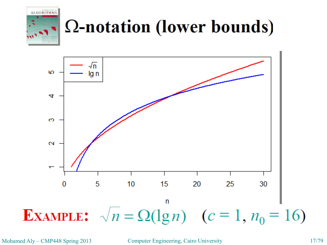

#### Ω-notation (lower bounds)



Mohamed Aly – CMP448 Spring 2013 Computer Engineering, Cairo University 17/79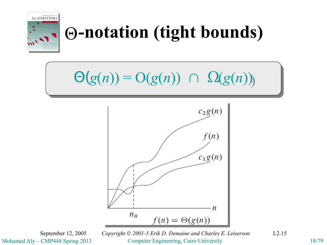

#### **-notation (tight bounds)** Θ

#### $\Theta(g(n)) = \Theta(g(n)) \cap \Omega(g(n))$



Mohamed Aly – CMP448 Spring 2013 Computer Engineering, Cairo University 18/79 September 12, 2005 *Copyright © 2001-5 Erik D. Demaine and Charles E. Leiserson* L2.15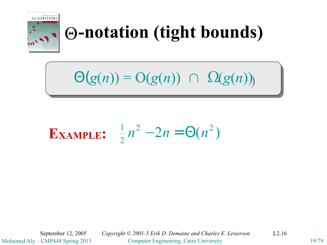

#### **-notation (tight bounds)** Θ

 $\Theta(g(n)) = \Theta(g(n)) \cap \Omega(g(n))$ 

#### $2^2 - 2n = \Theta(n^2)$ 2 **EXAMPLE:**  $\frac{1}{2}n^2 - 2n = \Theta(n)$

Mohamed Aly – CMP448 Spring 2013 Computer Engineering, Cairo University 19/79 September 12, 2005 *Copyright © 2001-5 Erik D. Demaine and Charles E. Leiserson* L2.16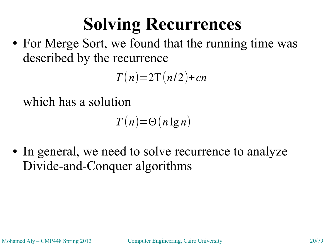#### **Solving Recurrences**

• For Merge Sort, we found that the running time was described by the recurrence

 $T(n)=2T(n/2)+cn$ 

which has a solution

 $T(n)=\Theta(n \lg n)$ 

• In general, we need to solve recurrence to analyze Divide-and-Conquer algorithms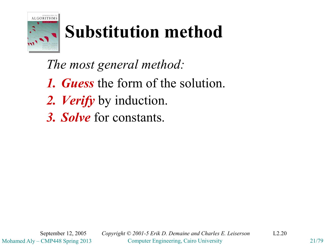

#### **Substitution method**

*The most general method:*

- *1. Guess* the form of the solution.
- *2. Verify* by induction.
- *3. Solve* for constants.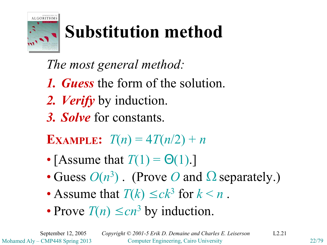

### **Substitution method**

*The most general method:*

- *1. Guess* the form of the solution.
- *2. Verify* by induction.
- *3. Solve* for constants.

**EXAMPLE**:  $T(n) = 4T(n/2) + n$ 

- [Assume that  $T(1) = \Theta(1)$ .]
- Guess  $O(n^3)$ . (Prove *O* and  $\Omega$  separately.)
- Assume that  $T(k) \le ck^3$  for  $k < n$ .
- Prove  $T(n) \leq cn^3$  by induction.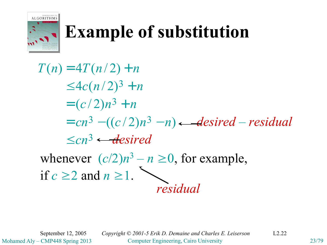

#### **Example of substitution**

 $\leq cn^3 \leftarrow$ **desired**  $= cn^3 - ((c/2)n^3 - n) - desired - residual$  $= (c/2)n^3 + n$  $\leq 4c(n/2)^3 + n$  $T(n) = 4T(n/2) + n$ whenever  $(c/2)n^3 - n \ge 0$ , for example, if  $c \geq 2$  and  $n \geq 1$ . *residual*

Mohamed Aly – CMP448 Spring 2013 Computer Engineering, Cairo University 23/79 September 12, 2005 *Copyright © 2001-5 Erik D. Demaine and Charles E. Leiserson* L2.22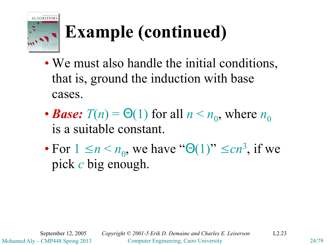

## **Example (continued)**

- We must also handle the initial conditions, that is, ground the induction with base cases.
- *Base:*  $T(n) = \Theta(1)$  for all  $n \le n_0$ , where  $n_0$ is a suitable constant.
- For  $1 \le n \le n_0$ , we have " $\Theta(1)$ "  $\le cn^3$ , if we pick *c* big enough.

Mohamed Aly – CMP448 Spring 2013 Computer Engineering, Cairo University 24/79 September 12, 2005 *Copyright © 2001-5 Erik D. Demaine and Charles E. Leiserson* L2.23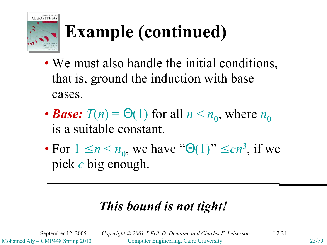

## **Example (continued)**

- We must also handle the initial conditions, that is, ground the induction with base cases.
- *Base:*  $T(n) = \Theta(1)$  for all  $n \le n_0$ , where  $n_0$ is a suitable constant.
- For  $1 \le n \le n_0$ , we have " $\Theta(1)$ "  $\le cn^3$ , if we pick *c* big enough.

#### *This bound is not tight!*

Mohamed Aly – CMP448 Spring 2013 Computer Engineering, Cairo University 25/79 September 12, 2005 *Copyright © 2001-5 Erik D. Demaine and Charles E. Leiserson* L2.24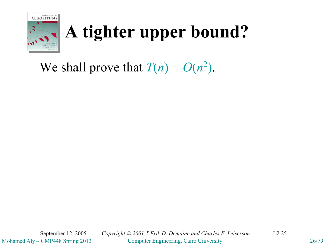

We shall prove that  $T(n) = O(n^2)$ .

Mohamed Aly – CMP448 Spring 2013 Computer Engineering, Cairo University 26/79 September 12, 2005 *Copyright © 2001-5 Erik D. Demaine and Charles E. Leiserson* L2.25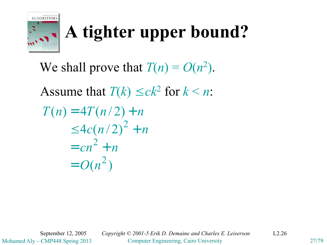

We shall prove that  $T(n) = O(n^2)$ . Assume that  $T(k) \le ck^2$  for  $k < n$ :  $(n^2)$  $4c(n/2)$  $T(n) = 4T(n/2) + n$ 2 2 2  $= O(n)$  $= cn^2 + n$  $\leq 4c(n/2)^{2} + n$ 

Mohamed Aly – CMP448 Spring 2013 Computer Engineering, Cairo University 27/79 September 12, 2005 *Copyright © 2001-5 Erik D. Demaine and Charles E. Leiserson* L2.26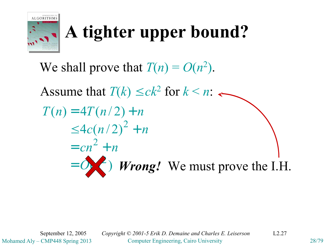

We shall prove that  $T(n) = O(n^2)$ . Assume that  $T(k) \le ck^2$  for  $k < n$ : ( )  $4c(n/2)$  $T(n) = 4T(n/2) + n$ 2 2 2  $=$   $\bullet$   $\bullet$  *V wrong!* We must prove the I.H.  $= cn^2 + n$  $\leq 4c(n/2)^{2} + n$ 

Mohamed Aly – CMP448 Spring 2013 Computer Engineering, Cairo University 28/79 September 12, 2005 *Copyright © 2001-5 Erik D. Demaine and Charles E. Leiserson* L2.27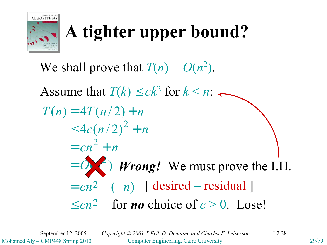

We shall prove that  $T(n) = O(n^2)$ . Assume that  $T(k) \le ck^2$  for  $k < n$ : ( )  $4c(n/2)$  $T(n) = 4T(n/2) + n$ 2 2 2  $=$   $\bullet$   $\bullet$  *V wrong!* We must prove the I.H.  $= cn^2 + n$  $\leq 4c(n/2)^{2} + n$  $\leq cn^2$  for **no** choice of  $c > 0$ . Lose!  $= cn^2 - (-n)$  [desired – residual]

Mohamed Aly – CMP448 Spring 2013 Computer Engineering, Cairo University 29/79 September 12, 2005 *Copyright © 2001-5 Erik D. Demaine and Charles E. Leiserson* L2.28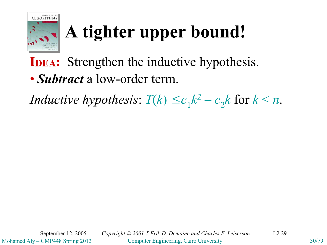

**IDEA:** Strengthen the inductive hypothesis.

• *Subtract* a low-order term.

*Inductive hypothesis*:  $T(k) \le c_1 k^2 - c_2 k$  for  $k < n$ .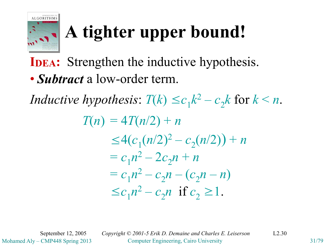

**IDEA:** Strengthen the inductive hypothesis.

• *Subtract* a low-order term.

*Inductive hypothesis*:  $T(k) \le c_1 k^2 - c_2 k$  for  $k < n$ .

 $T(n) = 4T(n/2) + n$  $\leq 4(c_1(n/2)^2 - c_2(n/2)) + n$  $= c_1 n^2 - 2c_2 n + n$  $= c_1 n^2 - c_2 n - (c_2 n - n)$  $\leq c_1 n^2 - c_2 n$  if  $c_2 \geq 1$ .

Mohamed Aly – CMP448 Spring 2013 Computer Engineering, Cairo University 31/79 September 12, 2005 *Copyright © 2001-5 Erik D. Demaine and Charles E. Leiserson* L2.30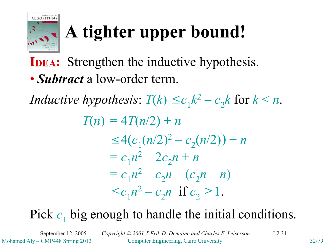

**IDEA:** Strengthen the inductive hypothesis.

• *Subtract* a low-order term.

*Inductive hypothesis*:  $T(k) \le c_1 k^2 - c_2 k$  for  $k < n$ .

 $T(n) = 4T(n/2) + n$  $\leq 4(c_1(n/2)^2 - c_2(n/2)) + n$  $= c_1 n^2 - 2c_2 n + n$  $= c_1 n^2 - c_2 n - (c_2 n - n)$  $\leq c_1 n^2 - c_2 n$  if  $c_2 \geq 1$ .

#### Pick  $c_1$  big enough to handle the initial conditions.

Mohamed Aly – CMP448 Spring 2013 Computer Engineering, Cairo University 32/79 September 12, 2005 *Copyright © 2001-5 Erik D. Demaine and Charles E. Leiserson* L2.31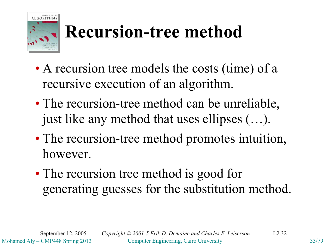

#### **Recursion-tree method**

- A recursion tree models the costs (time) of a recursive execution of an algorithm.
- The recursion-tree method can be unreliable, just like any method that uses ellipses (…).
- The recursion-tree method promotes intuition, however.
- The recursion tree method is good for generating guesses for the substitution method.

Mohamed Aly – CMP448 Spring 2013 Computer Engineering, Cairo University 33/79 September 12, 2005 *Copyright © 2001-5 Erik D. Demaine and Charles E. Leiserson* L2.32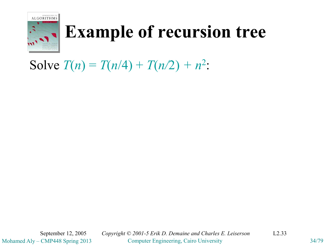

#### **Example of recursion tree**

Solve  $T(n) = T(n/4) + T(n/2) + n^2$ :

Mohamed Aly – CMP448 Spring 2013 Computer Engineering, Cairo University 34/79 September 12, 2005 *Copyright © 2001-5 Erik D. Demaine and Charles E. Leiserson* L2.33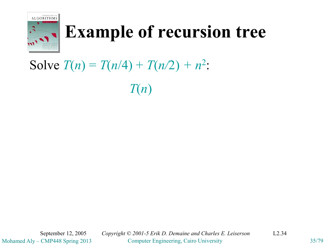

#### **Example of recursion tree**

#### Solve  $T(n) = T(n/4) + T(n/2) + n^2$ :

*T*(*n*)

Mohamed Aly – CMP448 Spring 2013 Computer Engineering, Cairo University 35/79 September 12, 2005 *Copyright © 2001-5 Erik D. Demaine and Charles E. Leiserson* L2.34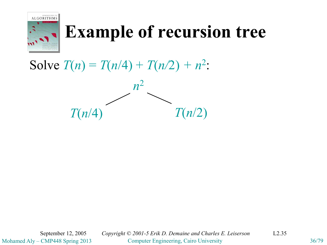

#### **Example of recursion tree**

Solve  $T(n) = T(n/4) + T(n/2) + n^2$ :



Mohamed Aly – CMP448 Spring 2013 Computer Engineering, Cairo University 36/79 September 12, 2005 *Copyright © 2001-5 Erik D. Demaine and Charles E. Leiserson* L2.35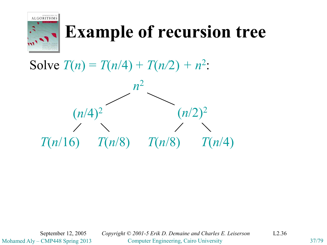

Solve  $T(n) = T(n/4) + T(n/2) + n^2$ :



Mohamed Aly – CMP448 Spring 2013 Computer Engineering, Cairo University 37/79 September 12, 2005 *Copyright © 2001-5 Erik D. Demaine and Charles E. Leiserson* L2.36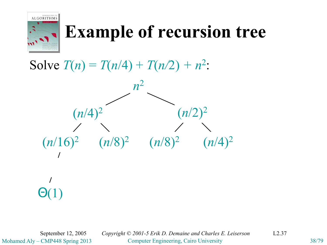

Solve  $T(n) = T(n/4) + T(n/2) + n^2$ :



Mohamed Aly – CMP448 Spring 2013 Computer Engineering, Cairo University 38/79 September 12, 2005 *Copyright © 2001-5 Erik D. Demaine and Charles E. Leiserson* L2.37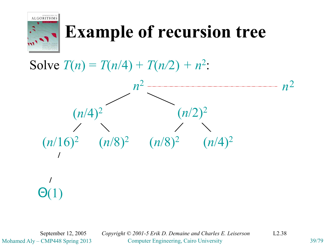

#### Solve  $T(n) = T(n/4) + T(n/2) + n^2$ :



Mohamed Aly – CMP448 Spring 2013 Computer Engineering, Cairo University 39/79 September 12, 2005 *Copyright © 2001-5 Erik D. Demaine and Charles E. Leiserson* L2.38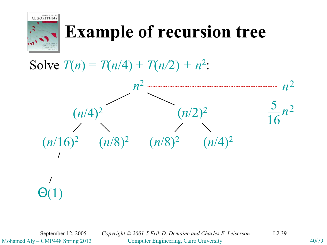

#### Solve  $T(n) = T(n/4) + T(n/2) + n^2$ :



Mohamed Aly – CMP448 Spring 2013 Computer Engineering, Cairo University 40/79 September 12, 2005 *Copyright © 2001-5 Erik D. Demaine and Charles E. Leiserson* L2.39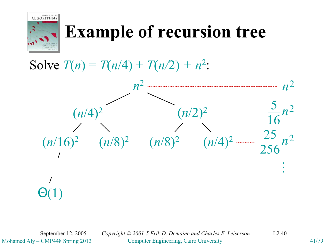

#### Solve  $T(n) = T(n/4) + T(n/2) + n^2$ :



Mohamed Aly – CMP448 Spring 2013 Computer Engineering, Cairo University 41/79 September 12, 2005 *Copyright © 2001-5 Erik D. Demaine and Charles E. Leiserson* L2.40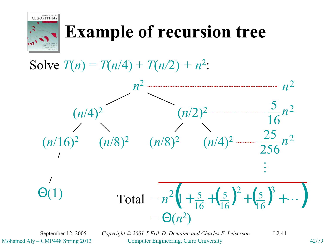

#### Solve  $T(n) = T(n/4) + T(n/2) + n^2$ :



Mohamed Aly – CMP448 Spring 2013 Computer Engineering, Cairo University 42/79 September 12, 2005 *Copyright © 2001-5 Erik D. Demaine and Charles E. Leiserson* L2.41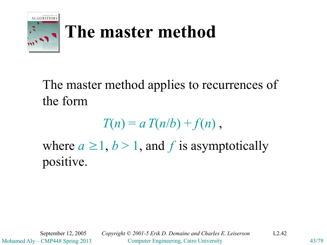

## **The master method**

The master method applies to recurrences of the form

 $T(n) = a T(n/b) + f(n)$ ,

where  $a \geq 1$ ,  $b > 1$ , and f is asymptotically positive.

Mohamed Aly – CMP448 Spring 2013 Computer Engineering, Cairo University 43/79

September 12, 2005 *Copyright © 2001-5 Erik D. Demaine and Charles E. Leiserson* L2.42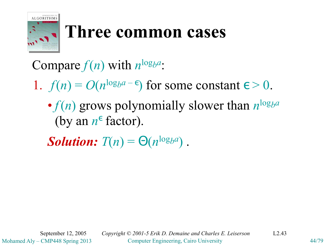

#### **Three common cases**

#### Compare  $f(n)$  with  $n^{\log_b a}$ :

- 1.  $f(n) = O(n^{\log_b a \epsilon})$  for some constant  $\epsilon > 0$ .
	- $f(n)$  grows polynomially slower than  $n^{\log_b a}$ (by an  $n^{\epsilon}$  factor).

*Solution:*  $T(n) = \Theta(n^{\log_b a})$ .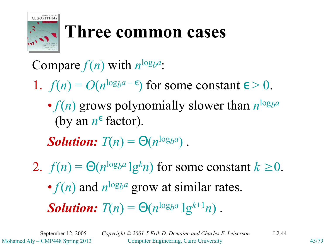

#### **Three common cases**

Compare  $f(n)$  with  $n^{\log_b a}$ :

1.  $f(n) = O(n^{\log_b a - \epsilon})$  for some constant  $\epsilon > 0$ .

•  $f(n)$  grows polynomially slower than  $n^{\log_b a}$ (by an  $n^{\epsilon}$  factor).

*Solution:*  $T(n) = \Theta(n^{\log_b a})$ .

2.  $f(n) = \Theta(n^{\log_b a} \lg^k n)$  for some constant  $k \ge 0$ . •  $f(n)$  and  $n^{\log_b a}$  grow at similar rates.

*Solution:*  $T(n) = \Theta(n^{\log_b a} \lg^{k+1} n)$ .

Mohamed Aly – CMP448 Spring 2013 Computer Engineering, Cairo University 45/79 September 12, 2005 *Copyright © 2001-5 Erik D. Demaine and Charles E. Leiserson* L2.44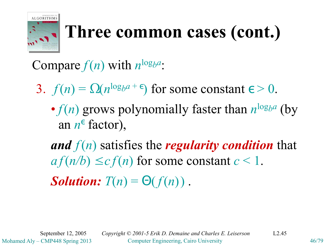

# **Three common cases (cont.)**

Compare  $f(n)$  with  $n^{\log_b a}$ :

3.  $f(n) = \Omega(n^{\log_b a + \epsilon})$  for some constant  $\epsilon > 0$ .

•  $f(n)$  grows polynomially faster than  $n^{\log_b a}$  (by an *n* ε factor),

*and f*(*n*) satisfies the *regularity condition* that  $af(n/b) \leq cf(n)$  for some constant  $c < 1$ .

*Solution:*  $T(n) = \Theta(f(n))$ .

Mohamed Aly – CMP448 Spring 2013 Computer Engineering, Cairo University 46/79 September 12, 2005 *Copyright © 2001-5 Erik D. Demaine and Charles E. Leiserson* L2.45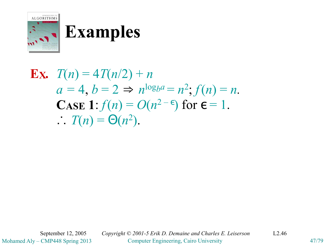

**Ex.** 
$$
T(n) = 4T(n/2) + n
$$

$$
a = 4, b = 2 \Rightarrow n^{\log_b a} = n^2; f(n) = n.
$$
**Case 1**: 
$$
f(n) = O(n^{2-\epsilon}) \text{ for } \epsilon = 1.
$$

$$
T(n) = \Theta(n^2).
$$

Mohamed Aly – CMP448 Spring 2013 Computer Engineering, Cairo University 47/79 September 12, 2005 *Copyright © 2001-5 Erik D. Demaine and Charles E. Leiserson* L2.46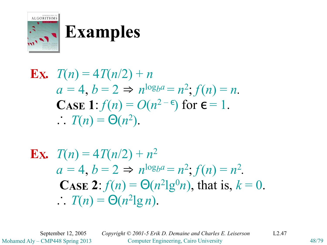

**Ex.** 
$$
T(n) = 4T(n/2) + n
$$

$$
a = 4, b = 2 \Rightarrow n^{\log_b a} = n^2; f(n) = n.
$$
**CASE 1**: 
$$
f(n) = O(n^{2-\epsilon}) \text{ for } \epsilon = 1.
$$

$$
T(n) = \Theta(n^2).
$$

**Ex.** 
$$
T(n) = 4T(n/2) + n^2
$$
  
\n $a = 4, b = 2 \Rightarrow n^{\log_b a} = n^2; f(n) = n^2$ .  
\n**CASE 2:**  $f(n) = \Theta(n^2 \lg^0 n)$ , that is,  $k = 0$ .  
\n $T(n) = \Theta(n^2 \lg n)$ .

Mohamed Aly – CMP448 Spring 2013 Computer Engineering, Cairo University 48/79 September 12, 2005 *Copyright © 2001-5 Erik D. Demaine and Charles E. Leiserson* L2.47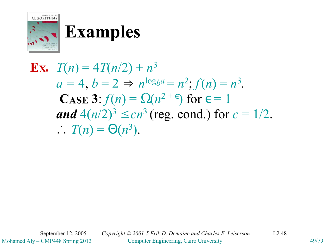

**Ex.** 
$$
T(n) = 4T(n/2) + n^3
$$
  
\n $a = 4, b = 2 \Rightarrow n^{\log_b a} = n^2$ ;  $f(n) = n^3$ .  
\n**CASE 3**:  $f(n) = \Omega(n^{2+1})$  for  $f = 1$   
\nand  $4(n/2)^3 \le cn^3$  (reg. cond.) for  $c = 1/2$ .  
\n $\therefore T(n) = \Theta(n^3)$ .

Mohamed Aly – CMP448 Spring 2013 Computer Engineering, Cairo University 49/79 September 12, 2005 *Copyright © 2001-5 Erik D. Demaine and Charles E. Leiserson* L2.48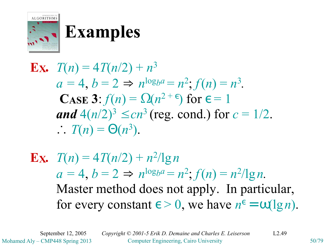

**Ex.** 
$$
T(n) = 4T(n/2) + n^3
$$
  
\n $a = 4, b = 2 \Rightarrow n^{\log_b a} = n^2; f(n) = n^3$ .  
\n**CASE 3:**  $f(n) = \Omega(n^{2+1})$  for  $t = 1$   
\n**and**  $4(n/2)^3 \le cn^3$  (reg. cond.) for  $c = 1/2$ .  
\n $\therefore T(n) = \Theta(n^3)$ .

**Ex.** 
$$
T(n) = 4T(n/2) + n^2/\lg n
$$
  
\n $a = 4, b = 2 \Rightarrow n^{\log_b a} = n^2; f(n) = n^2/\lg n$ .  
\nMaster method does not apply. In particular,  
\nfor every constant  $\epsilon > 0$ , we have  $n^{\epsilon} = \omega(\lg n)$ .

Mohamed Aly – CMP448 Spring 2013 Computer Engineering, Cairo University 50/79 September 12, 2005 *Copyright © 2001-5 Erik D. Demaine and Charles E. Leiserson* L2.49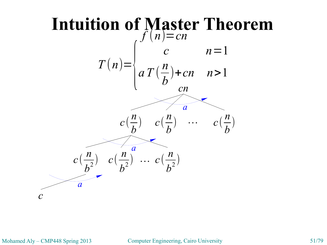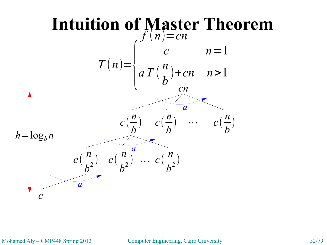

Mohamed Aly – CMP448 Spring 2013 Computer Engineering, Cairo University 52/79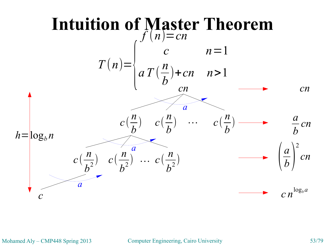

Mohamed Aly – CMP448 Spring 2013 Computer Engineering, Cairo University 53/79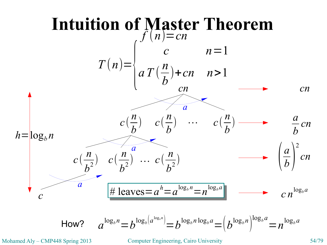

Mohamed Aly – CMP448 Spring 2013 Computer Engineering, Cairo University 54/79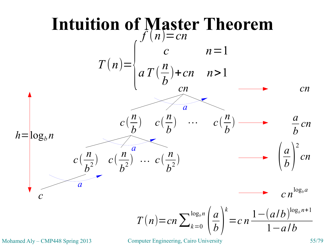

Mohamed Aly – CMP448 Spring 2013 Computer Engineering, Cairo University 55/79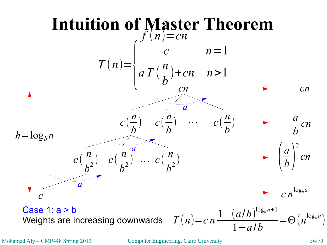

Mohamed Aly – CMP448 Spring 2013 Computer Engineering, Cairo University 56/79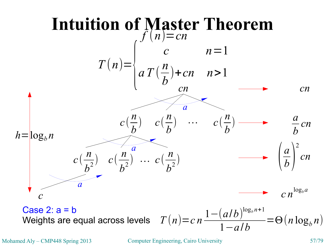

Mohamed Aly – CMP448 Spring 2013 Computer Engineering, Cairo University 57/79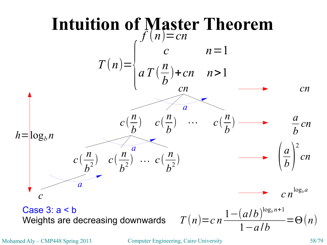

Mohamed Aly – CMP448 Spring 2013 Computer Engineering, Cairo University 58/79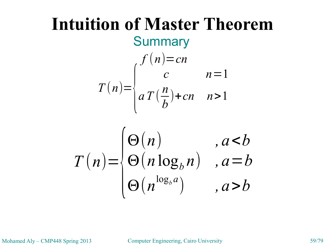#### **Intuition of Master Theorem Summary**  $f(n)=cn$  $T(n)=\begin{cases} a & n \end{cases}$  $c \qquad n=1$ *aT* ( *n b* )+*cn n*>1

$$
T(n) = \begin{cases} \Theta(n) & , a < b \\ \Theta(n \log_b n) & , a = b \\ \Theta(n^{\log_b a}) & , a > b \end{cases}
$$

Mohamed Aly – CMP448 Spring 2013 Computer Engineering, Cairo University 59/79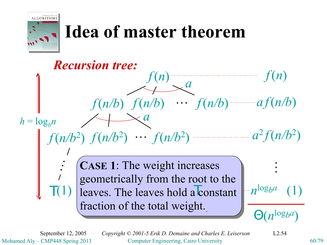

## **Idea of master theorem**



Mohamed Aly – CMP448 Spring 2013 Computer Engineering, Cairo University 60/79 September 12, 2005 *Copyright © 2001-5 Erik D. Demaine and Charles E. Leiserson* L2.54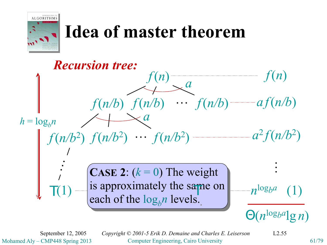

## **Idea of master theorem**



Mohamed Aly – CMP448 Spring 2013 Computer Engineering, Cairo University 61/79 September 12, 2005 *Copyright © 2001-5 Erik D. Demaine and Charles E. Leiserson* L2.55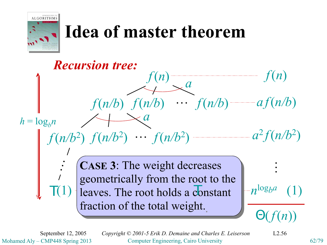

## **Idea of master theorem**



Mohamed Aly – CMP448 Spring 2013 Computer Engineering, Cairo University 62/79 September 12, 2005 *Copyright © 2001-5 Erik D. Demaine and Charles E. Leiserson* L2.56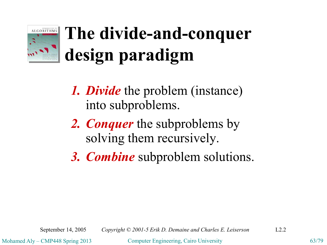

# **The divide-and-conquer design paradigm**

- *1. Divide* the problem (instance) into subproblems.
- *2. Conquer* the subproblems by solving them recursively.
- *3. Combine* subproblem solutions.

Mohamed Aly – CMP448 Spring 2013 Computer Engineering, Cairo University 63/79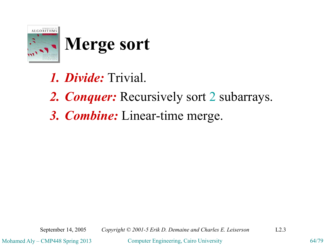

## **Merge sort**

- *1. Divide:* Trivial.
- *2. Conquer:* Recursively sort 2 subarrays.
- *3. Combine:* Linear-time merge.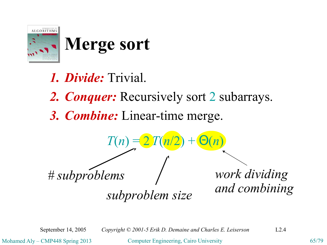

## **Merge sort**

*1. Divide:* Trivial. *2. Conquer:* Recursively sort 2 subarrays. *3. Combine:* Linear-time merge.  $T(n)$  = *# subproblems subproblem size work dividing and combining*

September 14, 2005 *Copyright © 2001-5 Erik D. Demaine and Charles E. Leiserson* L2.4

Mohamed Aly – CMP448 Spring 2013 Computer Engineering, Cairo University 65/79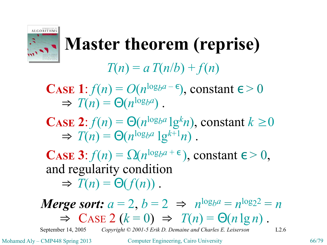

#### **Master theorem (reprise)**

#### $T(n) = a T(n/b) + f(n)$

**CASE** 1:  $f(n) = O(n^{\log_b a - \epsilon})$ , constant  $\epsilon > 0$  $\Rightarrow$   $T(n) = \Theta(n^{\log_b a})$ .

**CASE** 2:  $f(n) = \Theta(n^{\log_b a} \lg^k n)$ , constant  $k \ge 0$  $\Rightarrow T(n) = \Theta(n^{\log_b a} \lg^{k+1} n)$ .

**CASE 3**:  $f(n) = \Omega(n^{\log_b a + \epsilon})$ , constant  $\epsilon > 0$ , and regularity condition  $\Rightarrow$   $T(n) = \Theta(f(n))$ .

#### *Merge sort:*  $a = 2$ ,  $b = 2 \Rightarrow n^{\log_b a} = n^{\log_2 2} = n$  $\Rightarrow$  CASE 2 ( $k = 0$ )  $\Rightarrow$   $T(n) = \Theta(n \lg n)$ .

September 14, 2005 *Copyright © 2001-5 Erik D. Demaine and Charles E. Leiserson* L2.6

Mohamed Aly – CMP448 Spring 2013 Computer Engineering, Cairo University 66/79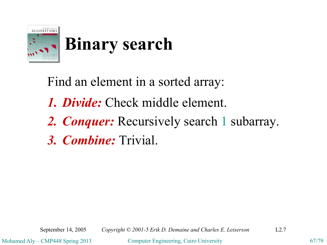

Find an element in a sorted array: *1. Divide:* Check middle element. *2. Conquer:* Recursively search 1 subarray. *3. Combine:* Trivial.

September 14, 2005 *Copyright © 2001-5 Erik D. Demaine and Charles E. Leiserson* L2.7

Mohamed Aly – CMP448 Spring 2013 Computer Engineering, Cairo University 67/79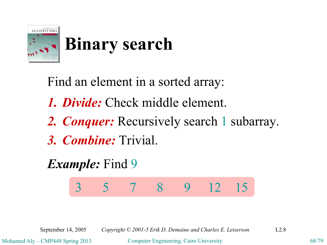

Find an element in a sorted array: *1. Divide:* Check middle element. *2. Conquer:* Recursively search 1 subarray. *3. Combine:* Trivial.

*Example:* Find 9

3 5 7 8 9 12 15

September 14, 2005 *Copyright © 2001-5 Erik D. Demaine and Charles E. Leiserson* L2.8

Mohamed Aly – CMP448 Spring 2013 Computer Engineering, Cairo University 68/79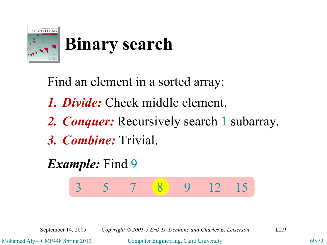

Find an element in a sorted array: *1. Divide:* Check middle element. *2. Conquer:* Recursively search 1 subarray. *3. Combine:* Trivial. *Example:* Find 9

3 5 7 8 9 12 15

September 14, 2005 *Copyright © 2001-5 Erik D. Demaine and Charles E. Leiserson* L2.9

Mohamed Aly – CMP448 Spring 2013 Computer Engineering, Cairo University 69/79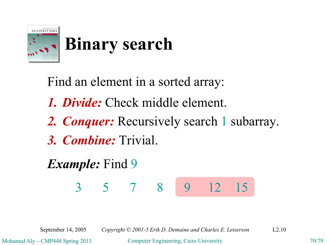

Find an element in a sorted array: *1. Divide:* Check middle element. *2. Conquer:* Recursively search 1 subarray. *3. Combine:* Trivial. *Example:* Find 9

3 5 7 8 9 12 15

September 14, 2005 *Copyright © 2001-5 Erik D. Demaine and Charles E. Leiserson* L2.10

Mohamed Aly – CMP448 Spring 2013 Computer Engineering, Cairo University 70/79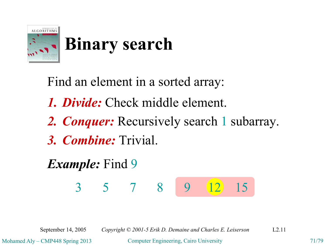

Find an element in a sorted array: *1. Divide:* Check middle element. *2. Conquer:* Recursively search 1 subarray. *3. Combine:* Trivial. *Example:* Find 9

3 5 7 8 9 12 15

September 14, 2005 *Copyright © 2001-5 Erik D. Demaine and Charles E. Leiserson* L2.11

Mohamed Aly – CMP448 Spring 2013 Computer Engineering, Cairo University 71/79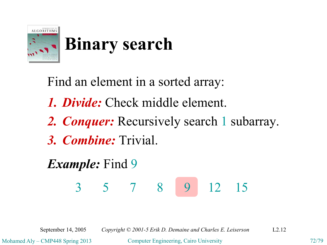

Find an element in a sorted array: *1. Divide:* Check middle element. *2. Conquer:* Recursively search 1 subarray. *3. Combine:* Trivial. *Example:* Find 9 3 5 7 8 9 12 15

September 14, 2005 *Copyright © 2001-5 Erik D. Demaine and Charles E. Leiserson* L2.12

Mohamed Aly – CMP448 Spring 2013 Computer Engineering, Cairo University 72/79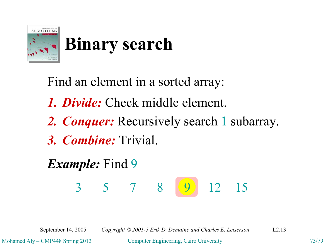

Find an element in a sorted array: *1. Divide:* Check middle element. *2. Conquer:* Recursively search 1 subarray. *3. Combine:* Trivial. *Example:* Find 9 3 5 7 8 9 12 15

September 14, 2005 *Copyright © 2001-5 Erik D. Demaine and Charles E. Leiserson* L2.13

Mohamed Aly – CMP448 Spring 2013 Computer Engineering, Cairo University 73/79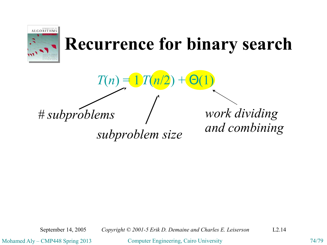

## **Recurrence for binary search**

 $T(n) =$ 

*# subproblems*

*subproblem size*

*work dividing and combining*

September 14, 2005 *Copyright © 2001-5 Erik D. Demaine and Charles E. Leiserson* L2.14

Mohamed Aly – CMP448 Spring 2013 Computer Engineering, Cairo University 74/79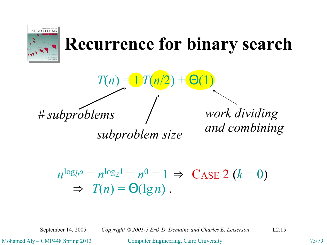

## **Recurrence for binary search**

$$
T(n) = 1T(n/2) + \Theta(1)
$$

*# subproblems*

*subproblem size*

*work dividing and combining*

$$
n^{\log_b a} = n^{\log_2 1} = n^0 = 1 \Rightarrow \text{CASE 2 } (k = 0)
$$
  
\n
$$
\Rightarrow T(n) = \Theta(\lg n).
$$

September 14, 2005 *Copyright © 2001-5 Erik D. Demaine and Charles E. Leiserson* L2.15

Mohamed Aly – CMP448 Spring 2013 Computer Engineering, Cairo University 75/79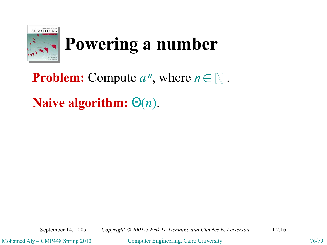

# **Powering a number**

## **Problem:** Compute  $a^n$ , where  $n \in \mathbb{N}$ .

#### **Naive algorithm:** Θ(*n*).

Mohamed Aly – CMP448 Spring 2013 Computer Engineering, Cairo University 76/79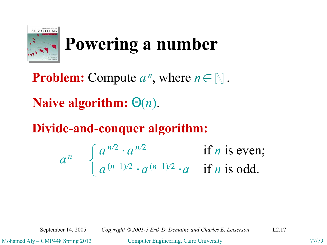

# **Powering a number**

**Problem:** Compute  $a^n$ , where  $n \in \mathbb{N}$ .

**Naive algorithm:** Θ(*n*).

#### **Divide-and-conquer algorithm:**

$$
a^n = \begin{cases} a^{n/2} \cdot a^{n/2} & \text{if } n \text{ is even;} \\ a^{(n-1)/2} \cdot a^{(n-1)/2} \cdot a & \text{if } n \text{ is odd.} \end{cases}
$$

September 14, 2005 *Copyright © 2001-5 Erik D. Demaine and Charles E. Leiserson* L2.17

Mohamed Aly – CMP448 Spring 2013 Computer Engineering, Cairo University 77/79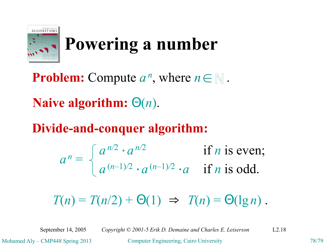

# **Powering a number**

**Problem:** Compute  $a^n$ , where  $n \in \mathbb{N}$ .

**Naive algorithm:** Θ(*n*).

**Divide-and-conquer algorithm:**

 $a^n =$  $a^{n/2} \cdot a^{n/2}$  if *n* is even; *a*<sup>(*n*–1)/2</sup> · *a* if *n* is odd.

 $T(n) = T(n/2) + \Theta(1) \Rightarrow T(n) = \Theta(\lg n).$ 

September 14, 2005 *Copyright © 2001-5 Erik D. Demaine and Charles E. Leiserson* L2.18

Mohamed Aly – CMP448 Spring 2013 Computer Engineering, Cairo University 78/79